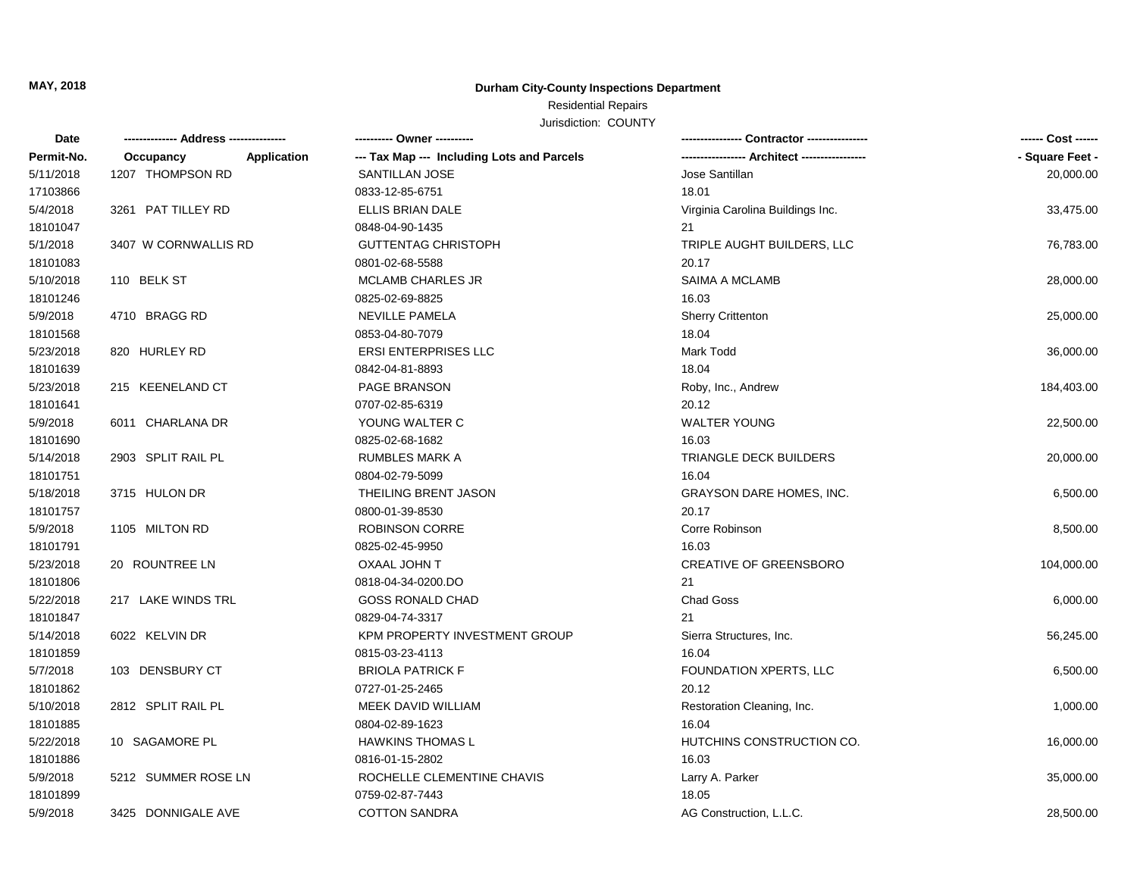**MAY, 2018**

#### **Durham City-County Inspections Department**

## Residential Repairs

Jurisdiction: COUNTY

| Date       |                      |             | ---------- Owner ----------                |                                  | ------ Cost ------ |
|------------|----------------------|-------------|--------------------------------------------|----------------------------------|--------------------|
| Permit-No. | Occupancy            | Application | --- Tax Map --- Including Lots and Parcels |                                  | - Square Feet -    |
| 5/11/2018  | 1207 THOMPSON RD     |             | SANTILLAN JOSE                             | Jose Santillan                   | 20,000.00          |
| 17103866   |                      |             | 0833-12-85-6751                            | 18.01                            |                    |
| 5/4/2018   | 3261 PAT TILLEY RD   |             | <b>ELLIS BRIAN DALE</b>                    | Virginia Carolina Buildings Inc. | 33,475.00          |
| 18101047   |                      |             | 0848-04-90-1435                            | 21                               |                    |
| 5/1/2018   | 3407 W CORNWALLIS RD |             | <b>GUTTENTAG CHRISTOPH</b>                 | TRIPLE AUGHT BUILDERS, LLC       | 76,783.00          |
| 18101083   |                      |             | 0801-02-68-5588                            | 20.17                            |                    |
| 5/10/2018  | 110 BELK ST          |             | <b>MCLAMB CHARLES JR</b>                   | SAIMA A MCLAMB                   | 28,000.00          |
| 18101246   |                      |             | 0825-02-69-8825                            | 16.03                            |                    |
| 5/9/2018   | 4710 BRAGG RD        |             | <b>NEVILLE PAMELA</b>                      | <b>Sherry Crittenton</b>         | 25,000.00          |
| 18101568   |                      |             | 0853-04-80-7079                            | 18.04                            |                    |
| 5/23/2018  | 820 HURLEY RD        |             | <b>ERSI ENTERPRISES LLC</b>                | Mark Todd                        | 36,000.00          |
| 18101639   |                      |             | 0842-04-81-8893                            | 18.04                            |                    |
| 5/23/2018  | 215 KEENELAND CT     |             | PAGE BRANSON                               | Roby, Inc., Andrew               | 184,403.00         |
| 18101641   |                      |             | 0707-02-85-6319                            | 20.12                            |                    |
| 5/9/2018   | 6011 CHARLANA DR     |             | YOUNG WALTER C                             | <b>WALTER YOUNG</b>              | 22,500.00          |
| 18101690   |                      |             | 0825-02-68-1682                            | 16.03                            |                    |
| 5/14/2018  | 2903 SPLIT RAIL PL   |             | <b>RUMBLES MARK A</b>                      | TRIANGLE DECK BUILDERS           | 20,000.00          |
| 18101751   |                      |             | 0804-02-79-5099                            | 16.04                            |                    |
| 5/18/2018  | 3715 HULON DR        |             | THEILING BRENT JASON                       | <b>GRAYSON DARE HOMES, INC.</b>  | 6,500.00           |
| 18101757   |                      |             | 0800-01-39-8530                            | 20.17                            |                    |
| 5/9/2018   | 1105 MILTON RD       |             | <b>ROBINSON CORRE</b>                      | Corre Robinson                   | 8,500.00           |
| 18101791   |                      |             | 0825-02-45-9950                            | 16.03                            |                    |
| 5/23/2018  | 20 ROUNTREE LN       |             | OXAAL JOHN T                               | <b>CREATIVE OF GREENSBORO</b>    | 104,000.00         |
| 18101806   |                      |             | 0818-04-34-0200.DO                         | 21                               |                    |
| 5/22/2018  | 217 LAKE WINDS TRL   |             | <b>GOSS RONALD CHAD</b>                    | Chad Goss                        | 6,000.00           |
| 18101847   |                      |             | 0829-04-74-3317                            | 21                               |                    |
| 5/14/2018  | 6022 KELVIN DR       |             | KPM PROPERTY INVESTMENT GROUP              | Sierra Structures, Inc.          | 56,245.00          |
| 18101859   |                      |             | 0815-03-23-4113                            | 16.04                            |                    |
| 5/7/2018   | 103 DENSBURY CT      |             | <b>BRIOLA PATRICK F</b>                    | FOUNDATION XPERTS, LLC           | 6,500.00           |
| 18101862   |                      |             | 0727-01-25-2465                            | 20.12                            |                    |
| 5/10/2018  | 2812 SPLIT RAIL PL   |             | MEEK DAVID WILLIAM                         | Restoration Cleaning, Inc.       | 1,000.00           |
| 18101885   |                      |             | 0804-02-89-1623                            | 16.04                            |                    |
| 5/22/2018  | 10 SAGAMORE PL       |             | <b>HAWKINS THOMAS L</b>                    | HUTCHINS CONSTRUCTION CO.        | 16,000.00          |
| 18101886   |                      |             | 0816-01-15-2802                            | 16.03                            |                    |
| 5/9/2018   | 5212 SUMMER ROSE LN  |             | ROCHELLE CLEMENTINE CHAVIS                 | Larry A. Parker                  | 35,000.00          |
| 18101899   |                      |             | 0759-02-87-7443                            | 18.05                            |                    |
| 5/9/2018   | 3425 DONNIGALE AVE   |             | <b>COTTON SANDRA</b>                       | AG Construction, L.L.C.          | 28,500.00          |